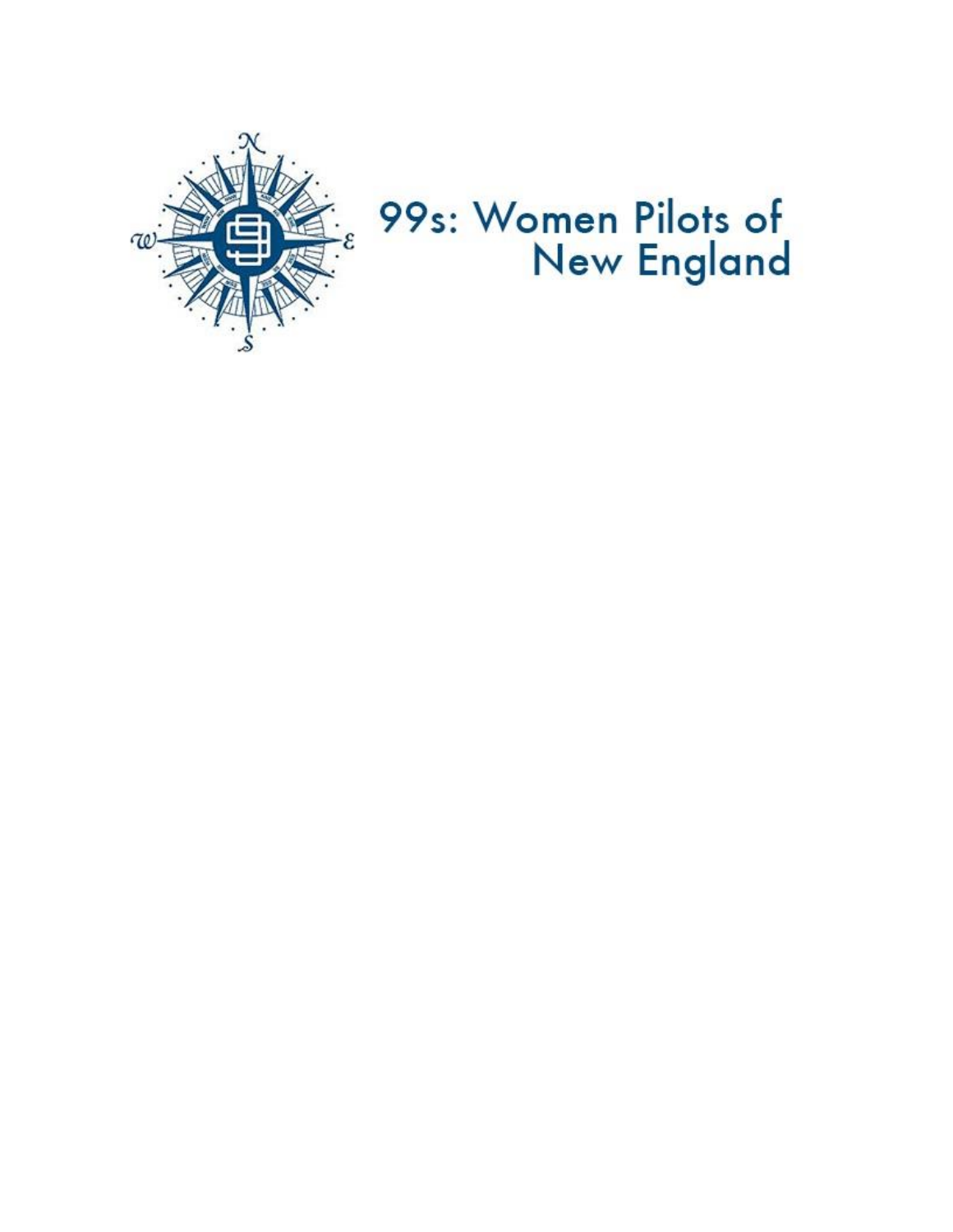

# 99s: Women Pilots of<br>New England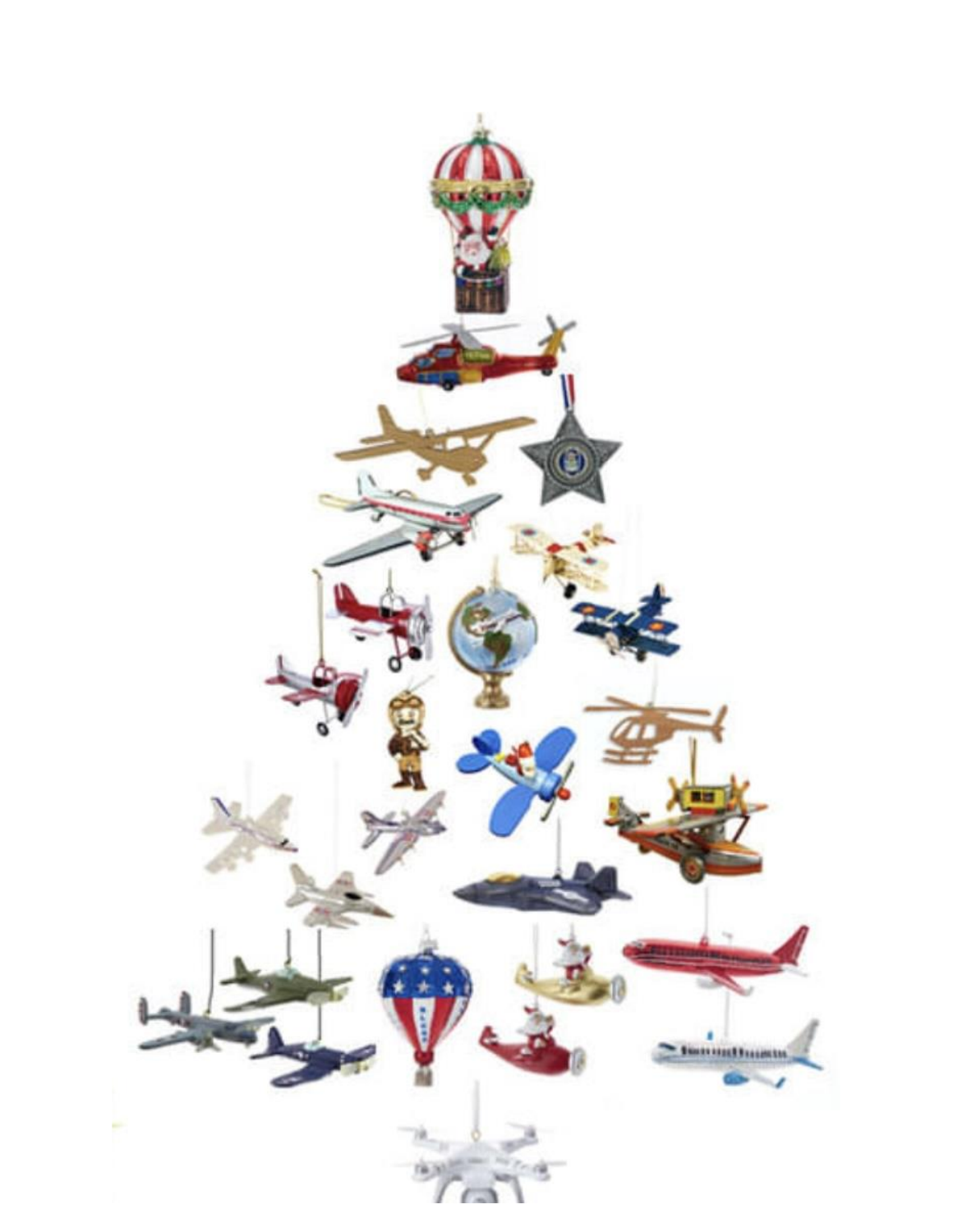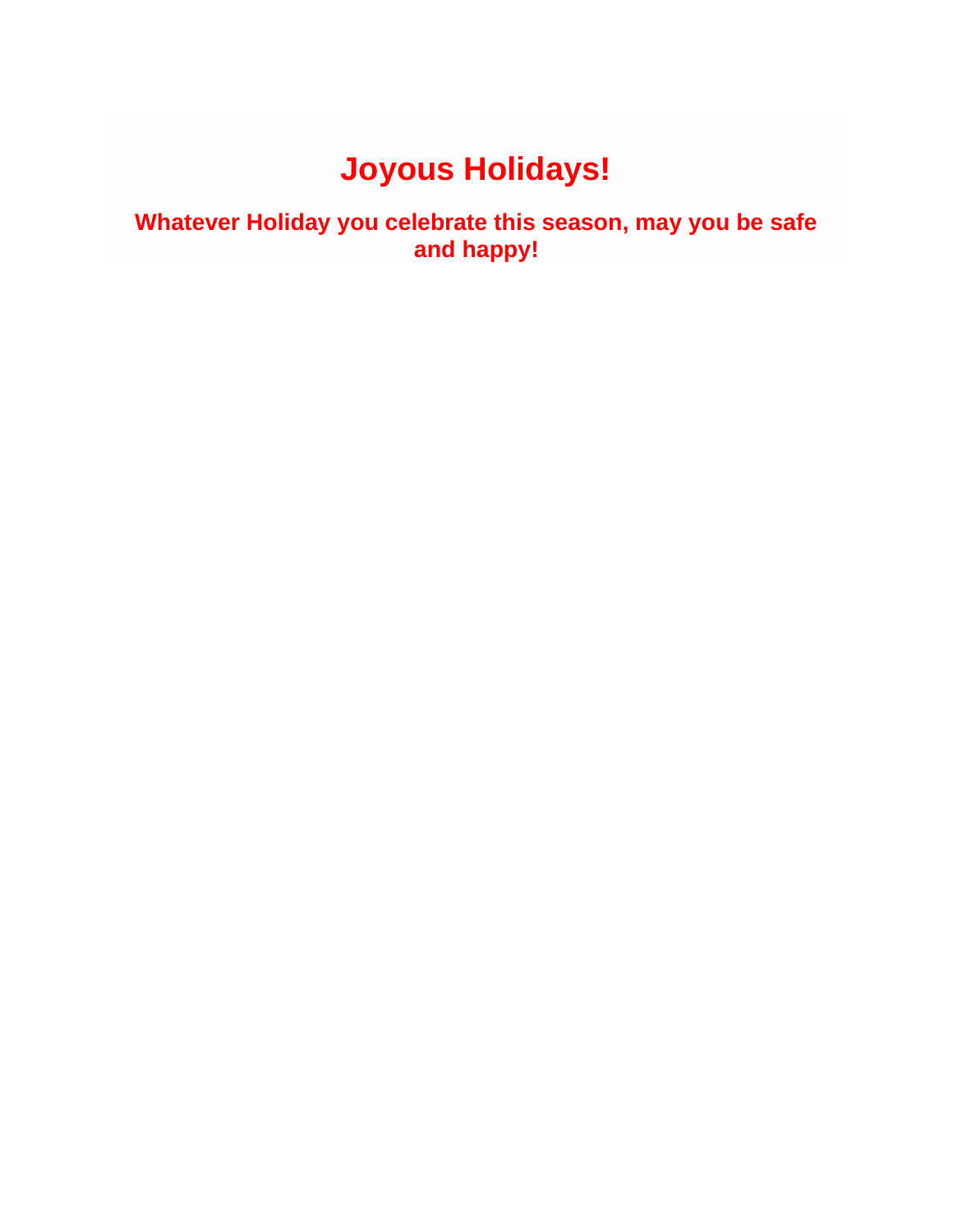## **Joyous Holidays!**

## **Whatever Holiday you celebrate this season, may you be safe and happy!**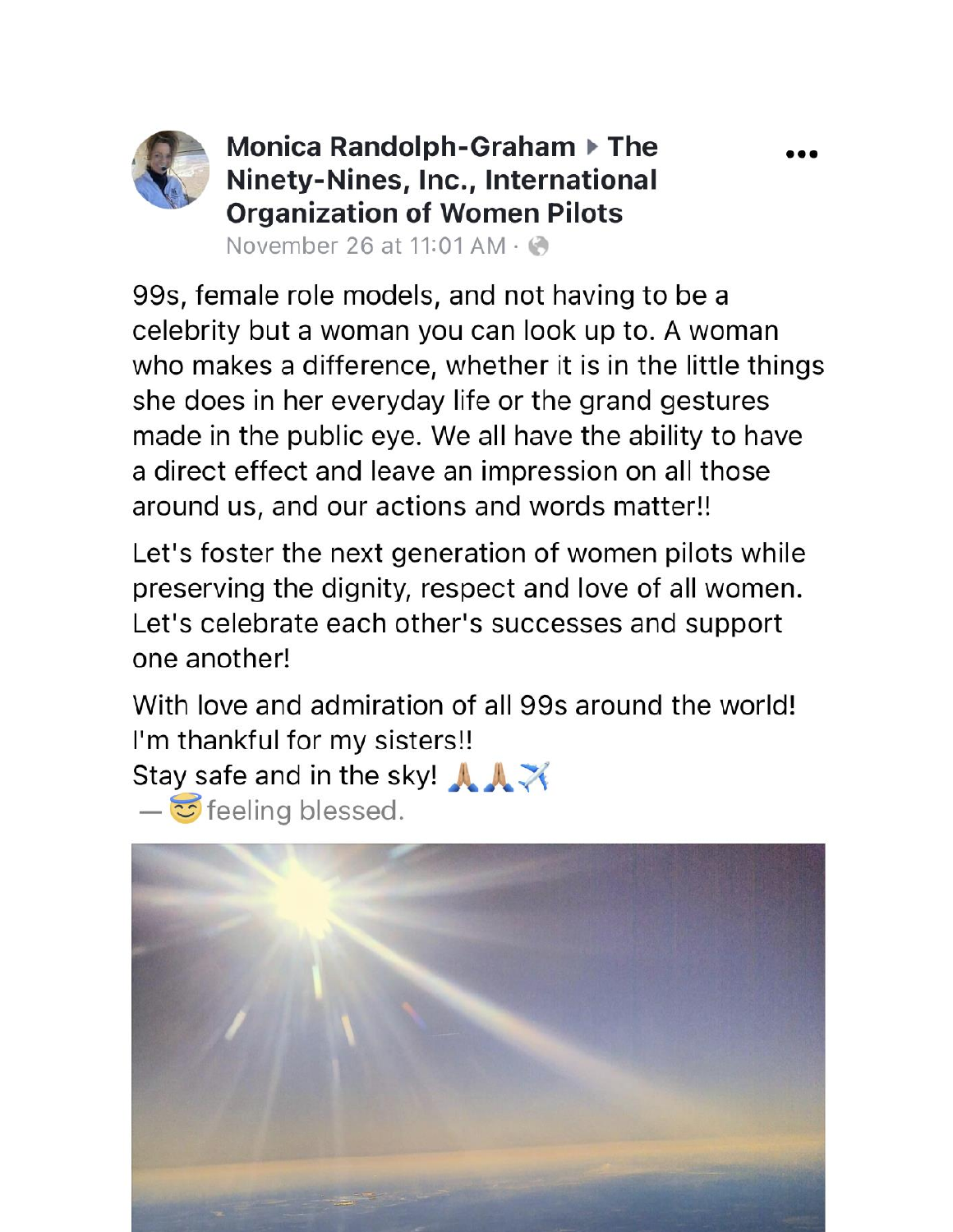

## Monica Randolph-Graham ▶ The **Ninety-Nines, Inc., International Organization of Women Pilots**

November 26 at 11:01 AM  $\cdot$   $\odot$ 

99s, female role models, and not having to be a celebrity but a woman you can look up to. A woman who makes a difference, whether it is in the little things she does in her everyday life or the grand gestures made in the public eye. We all have the ability to have a direct effect and leave an impression on all those around us, and our actions and words matter!!

Let's foster the next generation of women pilots while preserving the dignity, respect and love of all women. Let's celebrate each other's successes and support one another!

With love and admiration of all 99s around the world! I'm thankful for my sisters!!

Stay safe and in the sky! A A

 $-\overline{\mathbf{C}}$  feeling blessed.

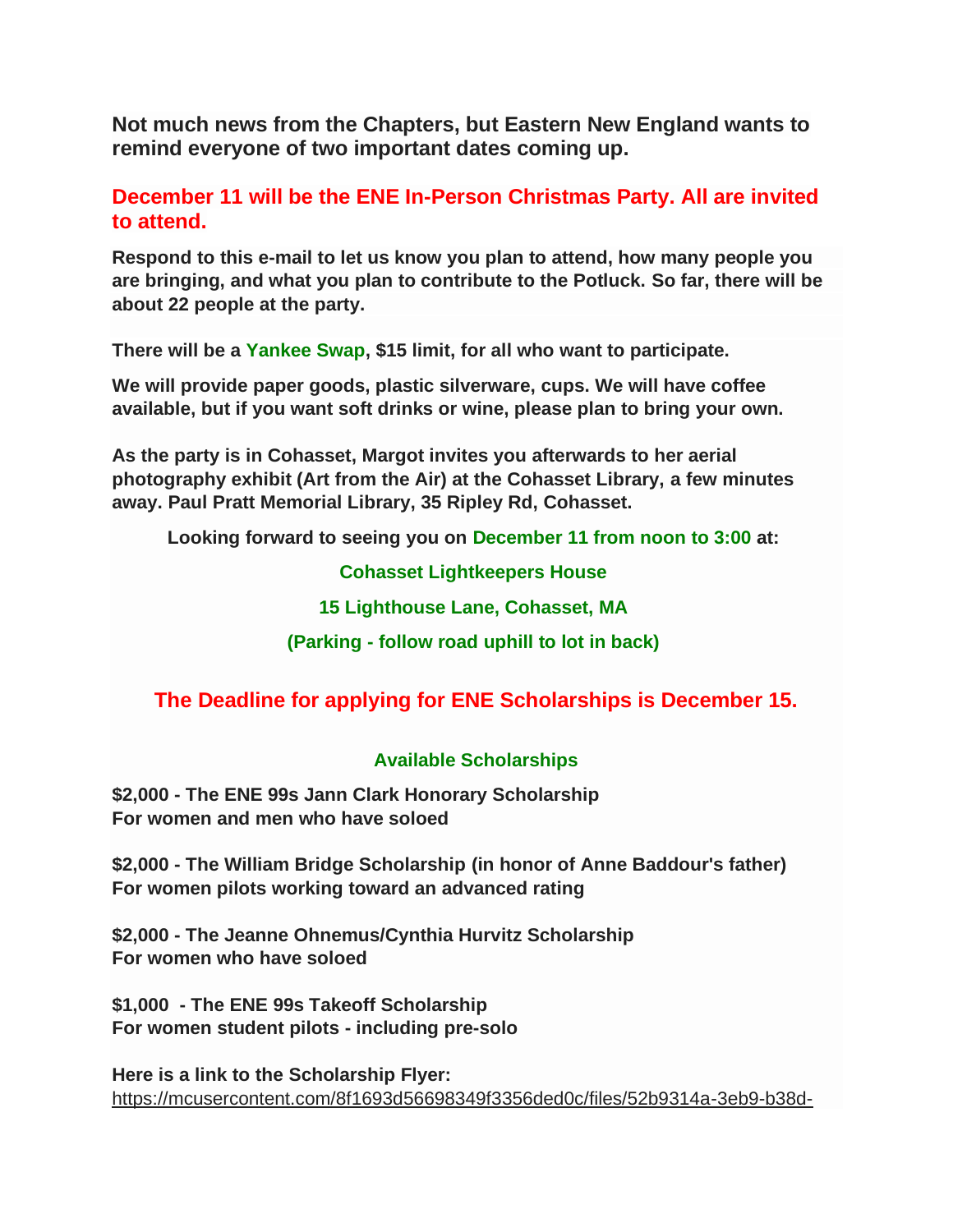**Not much news from the Chapters, but Eastern New England wants to remind everyone of two important dates coming up.**

**December 11 will be the ENE In-Person Christmas Party. All are invited to attend.**

**Respond to this e-mail to let us know you plan to attend, how many people you are bringing, and what you plan to contribute to the Potluck. So far, there will be about 22 people at the party.**

**There will be a Yankee Swap, \$15 limit, for all who want to participate.**

**We will provide paper goods, plastic silverware, cups. We will have coffee available, but if you want soft drinks or wine, please plan to bring your own.**

**As the party is in Cohasset, Margot invites you afterwards to her aerial photography exhibit (Art from the Air) at the Cohasset Library, a few minutes away. Paul Pratt Memorial Library, 35 Ripley Rd, Cohasset.**

**Looking forward to seeing you on December 11 from noon to 3:00 at:**

**Cohasset Lightkeepers House**

**15 Lighthouse Lane, Cohasset, MA**

**(Parking - follow road uphill to lot in back)**

### **The Deadline for applying for ENE Scholarships is December 15.**

#### **Available Scholarships**

**\$2,000 - The ENE 99s Jann Clark Honorary Scholarship For women and men who have soloed**

**\$2,000 - The William Bridge Scholarship (in honor of Anne Baddour's father) For women pilots working toward an advanced rating**

**\$2,000 - The Jeanne Ohnemus/Cynthia Hurvitz Scholarship For women who have soloed**

**\$1,000 - The ENE 99s Takeoff Scholarship For women student pilots - including pre-solo**

**Here is a link to the Scholarship Flyer:** [https://mcusercontent.com/8f1693d56698349f3356ded0c/files/52b9314a-3eb9-b38d-](https://womenpilotsene.us6.list-manage.com/track/click?u=8f1693d56698349f3356ded0c&id=e3df3c96b8&e=75347ca4ae)